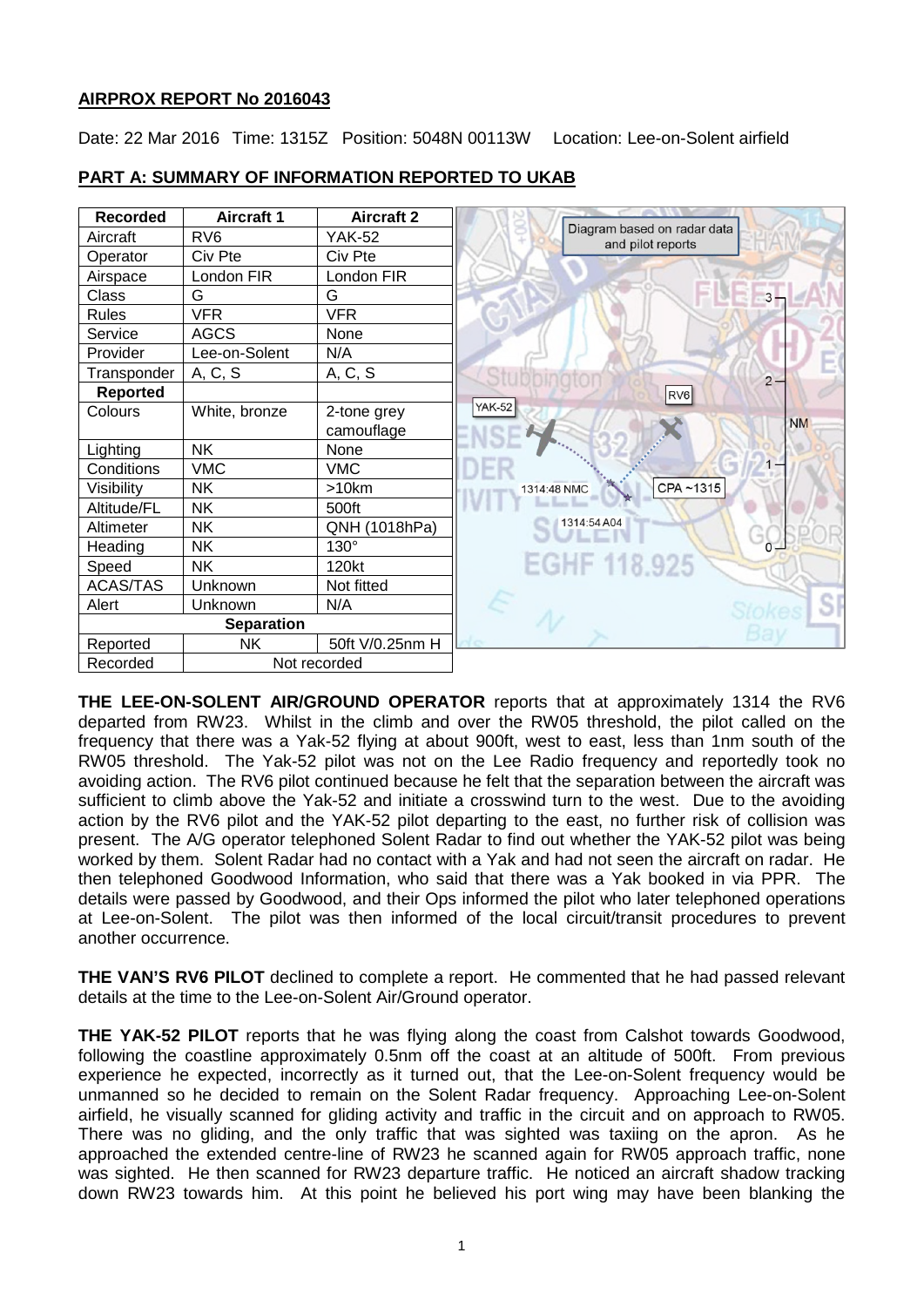## **AIRPROX REPORT No 2016043**

Date: 22 Mar 2016 Time: 1315Z Position: 5048N 00113W Location: Lee-on-Solent airfield

| <b>Recorded</b>   | <b>Aircraft 1</b> | <b>Aircraft 2</b> |                                                  |
|-------------------|-------------------|-------------------|--------------------------------------------------|
| Aircraft          | RV <sub>6</sub>   | <b>YAK-52</b>     | Diagram based on radar data<br>and pilot reports |
| Operator          | Civ Pte           | Civ Pte           |                                                  |
| Airspace          | London FIR        | London FIR        |                                                  |
| Class             | G                 | G                 | 3                                                |
| <b>Rules</b>      | <b>VFR</b>        | <b>VFR</b>        |                                                  |
| Service           | <b>AGCS</b>       | None              |                                                  |
| Provider          | Lee-on-Solent     | N/A               |                                                  |
| Transponder       | A, C, S           | A, C, S           | $2 -$                                            |
| <b>Reported</b>   |                   |                   | RV <sub>6</sub>                                  |
| Colours           | White, bronze     | 2-tone grey       | <b>YAK-52</b>                                    |
|                   |                   | camouflage        | <b>NM</b>                                        |
| Lighting          | <b>NK</b>         | None              |                                                  |
| Conditions        | <b>VMC</b>        | <b>VMC</b>        |                                                  |
| Visibility        | <b>NK</b>         | >10km             | CPA~1315<br>1314:48 NMC                          |
| Altitude/FL       | <b>NK</b>         | 500ft             |                                                  |
| Altimeter         | <b>NK</b>         | QNH (1018hPa)     | 1314:54 A04                                      |
| Heading           | <b>NK</b>         | $130^\circ$       |                                                  |
| Speed             | NΚ                | 120kt             | EGHF 118.925                                     |
| <b>ACAS/TAS</b>   | Unknown           | Not fitted        |                                                  |
| Alert             | Unknown           | N/A               | SI                                               |
| <b>Separation</b> |                   |                   |                                                  |
| Reported          | NΚ                | 50ft V/0.25nm H   |                                                  |
| Recorded          | Not recorded      |                   |                                                  |

# **PART A: SUMMARY OF INFORMATION REPORTED TO UKAB**

**THE LEE-ON-SOLENT AIR/GROUND OPERATOR** reports that at approximately 1314 the RV6 departed from RW23. Whilst in the climb and over the RW05 threshold, the pilot called on the frequency that there was a Yak-52 flying at about 900ft, west to east, less than 1nm south of the RW05 threshold. The Yak-52 pilot was not on the Lee Radio frequency and reportedly took no avoiding action. The RV6 pilot continued because he felt that the separation between the aircraft was sufficient to climb above the Yak-52 and initiate a crosswind turn to the west. Due to the avoiding action by the RV6 pilot and the YAK-52 pilot departing to the east, no further risk of collision was present. The A/G operator telephoned Solent Radar to find out whether the YAK-52 pilot was being worked by them. Solent Radar had no contact with a Yak and had not seen the aircraft on radar. He then telephoned Goodwood Information, who said that there was a Yak booked in via PPR. The details were passed by Goodwood, and their Ops informed the pilot who later telephoned operations at Lee-on-Solent. The pilot was then informed of the local circuit/transit procedures to prevent another occurrence.

**THE VAN'S RV6 PILOT** declined to complete a report. He commented that he had passed relevant details at the time to the Lee-on-Solent Air/Ground operator.

**THE YAK-52 PILOT** reports that he was flying along the coast from Calshot towards Goodwood, following the coastline approximately 0.5nm off the coast at an altitude of 500ft. From previous experience he expected, incorrectly as it turned out, that the Lee-on-Solent frequency would be unmanned so he decided to remain on the Solent Radar frequency. Approaching Lee-on-Solent airfield, he visually scanned for gliding activity and traffic in the circuit and on approach to RW05. There was no gliding, and the only traffic that was sighted was taxiing on the apron. As he approached the extended centre-line of RW23 he scanned again for RW05 approach traffic, none was sighted. He then scanned for RW23 departure traffic. He noticed an aircraft shadow tracking down RW23 towards him. At this point he believed his port wing may have been blanking the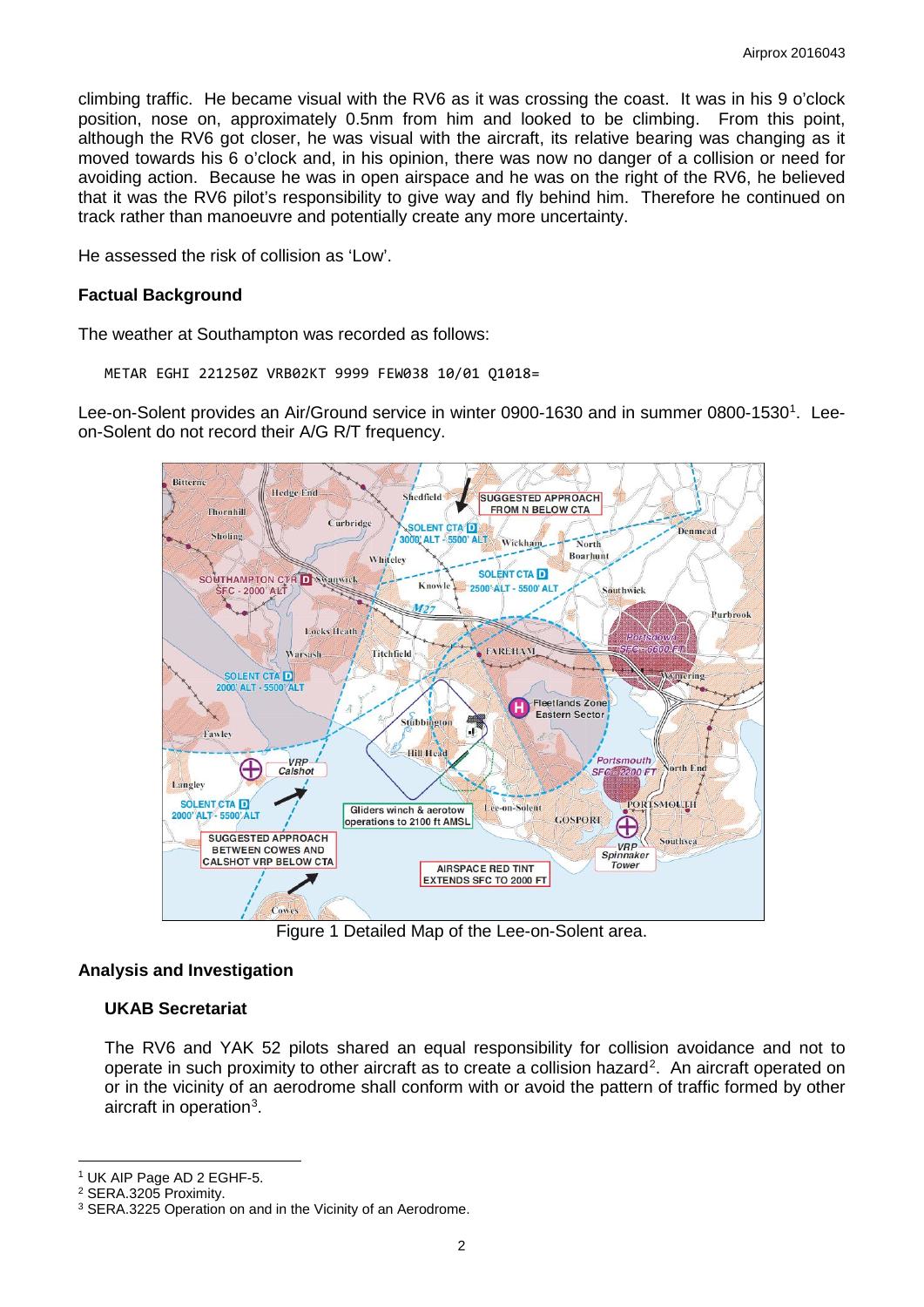climbing traffic. He became visual with the RV6 as it was crossing the coast. It was in his 9 o'clock position, nose on, approximately 0.5nm from him and looked to be climbing. From this point, although the RV6 got closer, he was visual with the aircraft, its relative bearing was changing as it moved towards his 6 o'clock and, in his opinion, there was now no danger of a collision or need for avoiding action. Because he was in open airspace and he was on the right of the RV6, he believed that it was the RV6 pilot's responsibility to give way and fly behind him. Therefore he continued on track rather than manoeuvre and potentially create any more uncertainty.

He assessed the risk of collision as 'Low'.

#### **Factual Background**

The weather at Southampton was recorded as follows:

METAR EGHI 221250Z VRB02KT 9999 FEW038 10/01 Q1018=

Lee-on-Solent provides an Air/Ground service in winter 0900-[1](#page-1-0)630 and in summer 0800-1530<sup>1</sup>. Leeon-Solent do not record their A/G R/T frequency.



Figure 1 Detailed Map of the Lee-on-Solent area.

## **Analysis and Investigation**

#### **UKAB Secretariat**

The RV6 and YAK 52 pilots shared an equal responsibility for collision avoidance and not to operate in such proximity to other aircraft as to create a collision hazard<sup>[2](#page-1-1)</sup>. An aircraft operated on or in the vicinity of an aerodrome shall conform with or avoid the pattern of traffic formed by other aircraft in operation<sup>[3](#page-1-2)</sup>.

 $\overline{\phantom{a}}$ 

<span id="page-1-0"></span><sup>1</sup> UK AIP Page AD 2 EGHF-5.

<span id="page-1-1"></span><sup>2</sup> SERA.3205 Proximity.

<span id="page-1-2"></span><sup>&</sup>lt;sup>3</sup> SERA.3225 Operation on and in the Vicinity of an Aerodrome.